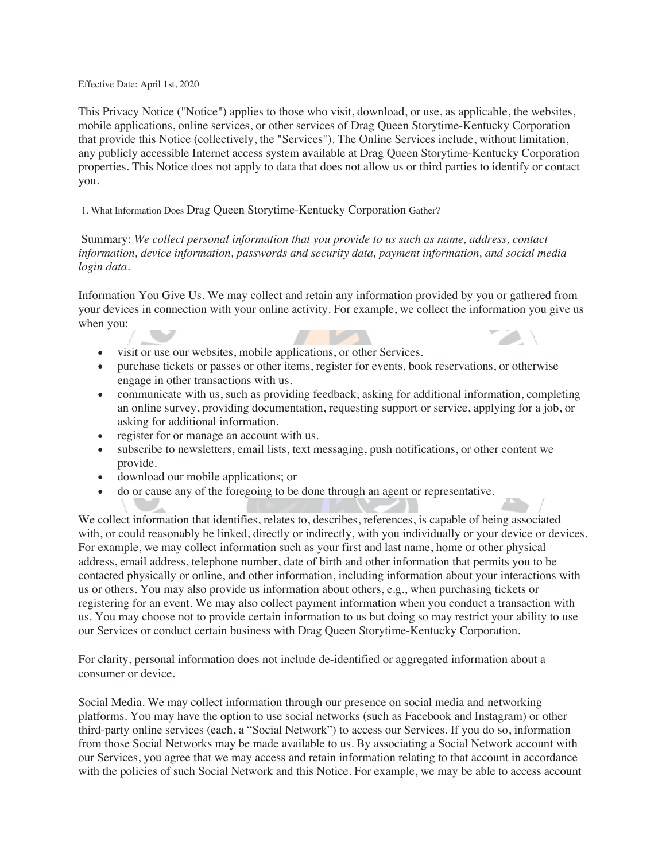Effective Date: April 1st, 2020

This Privacy Notice ("Notice") applies to those who visit, download, or use, as applicable, the websites, mobile applications, online services, or other services of Drag Queen Storytime-Kentucky Corporation that provide this Notice (collectively, the "Services"). The Online Services include, without limitation, any publicly accessible Internet access system available at Drag Queen Storytime-Kentucky Corporation properties. This Notice does not apply to data that does not allow us or third parties to identify or contact you.

1. What Information Does Drag Queen Storytime-Kentucky Corporation Gather?

Summary: *We collect personal information that you provide to us such as name, address, contact information, device information, passwords and security data, payment information, and social media login data.*

Information You Give Us. We may collect and retain any information provided by you or gathered from your devices in connection with your online activity. For example, we collect the information you give us when you:

- visit or use our websites, mobile applications, or other Services.
- purchase tickets or passes or other items, register for events, book reservations, or otherwise engage in other transactions with us.
- communicate with us, such as providing feedback, asking for additional information, completing an online survey, providing documentation, requesting support or service, applying for a job, or asking for additional information.
- register for or manage an account with us.
- subscribe to newsletters, email lists, text messaging, push notifications, or other content we provide.
- download our mobile applications; or
- do or cause any of the foregoing to be done through an agent or representative.

We collect information that identifies, relates to, describes, references, is capable of being associated with, or could reasonably be linked, directly or indirectly, with you individually or your device or devices. For example, we may collect information such as your first and last name, home or other physical address, email address, telephone number, date of birth and other information that permits you to be contacted physically or online, and other information, including information about your interactions with us or others. You may also provide us information about others, e.g., when purchasing tickets or registering for an event. We may also collect payment information when you conduct a transaction with us. You may choose not to provide certain information to us but doing so may restrict your ability to use our Services or conduct certain business with Drag Queen Storytime-Kentucky Corporation.

For clarity, personal information does not include de-identified or aggregated information about a consumer or device.

Social Media. We may collect information through our presence on social media and networking platforms. You may have the option to use social networks (such as Facebook and Instagram) or other third-party online services (each, a "Social Network") to access our Services. If you do so, information from those Social Networks may be made available to us. By associating a Social Network account with our Services, you agree that we may access and retain information relating to that account in accordance with the policies of such Social Network and this Notice. For example, we may be able to access account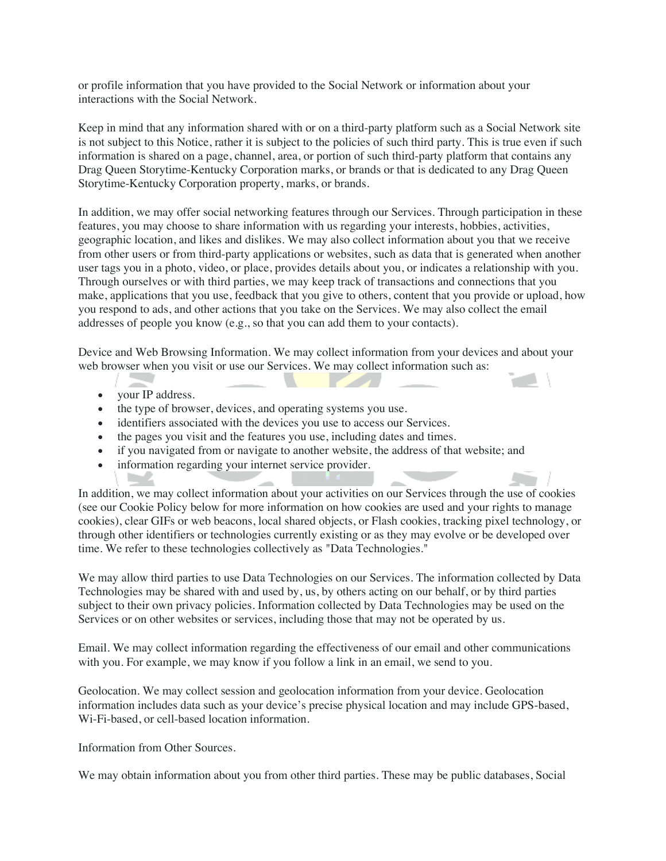or profile information that you have provided to the Social Network or information about your interactions with the Social Network.

Keep in mind that any information shared with or on a third-party platform such as a Social Network site is not subject to this Notice, rather it is subject to the policies of such third party. This is true even if such information is shared on a page, channel, area, or portion of such third-party platform that contains any Drag Queen Storytime-Kentucky Corporation marks, or brands or that is dedicated to any Drag Queen Storytime-Kentucky Corporation property, marks, or brands.

In addition, we may offer social networking features through our Services. Through participation in these features, you may choose to share information with us regarding your interests, hobbies, activities, geographic location, and likes and dislikes. We may also collect information about you that we receive from other users or from third-party applications or websites, such as data that is generated when another user tags you in a photo, video, or place, provides details about you, or indicates a relationship with you. Through ourselves or with third parties, we may keep track of transactions and connections that you make, applications that you use, feedback that you give to others, content that you provide or upload, how you respond to ads, and other actions that you take on the Services. We may also collect the email addresses of people you know (e.g., so that you can add them to your contacts).

Device and Web Browsing Information. We may collect information from your devices and about your web browser when you visit or use our Services. We may collect information such as:

• your IP address.

**Contract** 

- the type of browser, devices, and operating systems you use.
- identifiers associated with the devices you use to access our Services.
- the pages you visit and the features you use, including dates and times.
- if you navigated from or navigate to another website, the address of that website; and
- information regarding your internet service provider.

In addition, we may collect information about your activities on our Services through the use of cookies (see our Cookie Policy below for more information on how cookies are used and your rights to manage cookies), clear GIFs or web beacons, local shared objects, or Flash cookies, tracking pixel technology, or through other identifiers or technologies currently existing or as they may evolve or be developed over time. We refer to these technologies collectively as "Data Technologies."

We may allow third parties to use Data Technologies on our Services. The information collected by Data Technologies may be shared with and used by, us, by others acting on our behalf, or by third parties subject to their own privacy policies. Information collected by Data Technologies may be used on the Services or on other websites or services, including those that may not be operated by us.

Email. We may collect information regarding the effectiveness of our email and other communications with you. For example, we may know if you follow a link in an email, we send to you.

Geolocation. We may collect session and geolocation information from your device. Geolocation information includes data such as your device's precise physical location and may include GPS-based, Wi-Fi-based, or cell-based location information.

Information from Other Sources.

We may obtain information about you from other third parties. These may be public databases, Social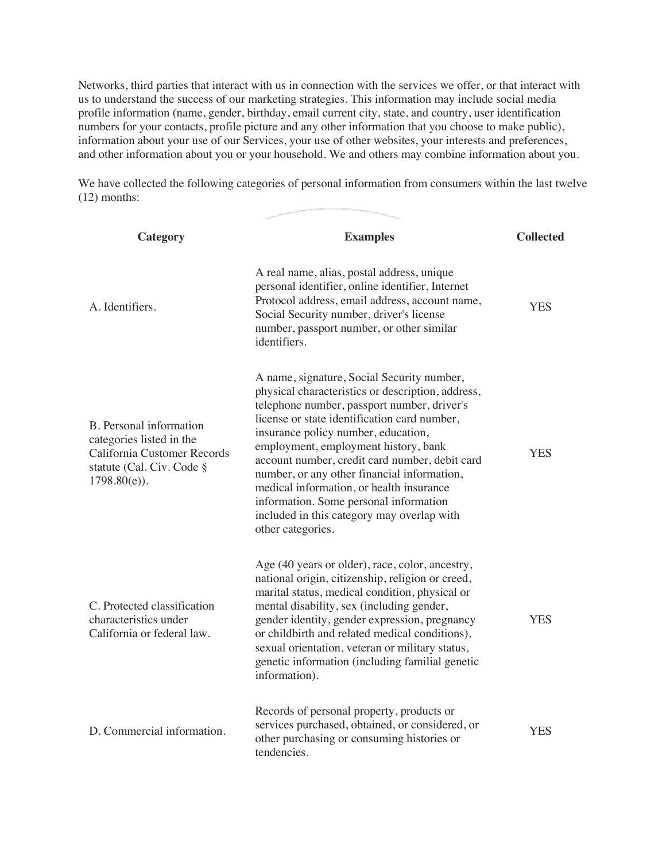Networks, third parties that interact with us in connection with the services we offer, or that interact with us to understand the success of our marketing strategies. This information may include social media profile information (name, gender, birthday, email current city, state, and country, user identification numbers for your contacts, profile picture and any other information that you choose to make public), information about your use of our Services, your use of other websites, your interests and preferences, and other information about you or your household. We and others may combine information about you.

We have collected the following categories of personal information from consumers within the last twelve (12) months:

| Category                                                                                                                           | <b>Examples</b>                                                                                                                                                                                                                                                                                                                                                                                                                                                                                                                         | <b>Collected</b> |
|------------------------------------------------------------------------------------------------------------------------------------|-----------------------------------------------------------------------------------------------------------------------------------------------------------------------------------------------------------------------------------------------------------------------------------------------------------------------------------------------------------------------------------------------------------------------------------------------------------------------------------------------------------------------------------------|------------------|
| A. Identifiers.                                                                                                                    | A real name, alias, postal address, unique<br>personal identifier, online identifier, Internet<br>Protocol address, email address, account name,<br>Social Security number, driver's license<br>number, passport number, or other similar<br>identifiers.                                                                                                                                                                                                                                                                               | YES              |
| B. Personal information<br>categories listed in the<br>California Customer Records<br>statute (Cal. Civ. Code §<br>$1798.80(e)$ ). | A name, signature, Social Security number,<br>physical characteristics or description, address,<br>telephone number, passport number, driver's<br>license or state identification card number,<br>insurance policy number, education,<br>employment, employment history, bank<br>account number, credit card number, debit card<br>number, or any other financial information,<br>medical information, or health insurance<br>information. Some personal information<br>included in this category may overlap with<br>other categories. | <b>YES</b>       |
| C. Protected classification<br>characteristics under<br>California or federal law.                                                 | Age (40 years or older), race, color, ancestry,<br>national origin, citizenship, religion or creed,<br>marital status, medical condition, physical or<br>mental disability, sex (including gender,<br>gender identity, gender expression, pregnancy<br>or childbirth and related medical conditions),<br>sexual orientation, veteran or military status,<br>genetic information (including familial genetic<br>information).                                                                                                            | YES              |
| D. Commercial information.                                                                                                         | Records of personal property, products or<br>services purchased, obtained, or considered, or<br>other purchasing or consuming histories or<br>tendencies.                                                                                                                                                                                                                                                                                                                                                                               | <b>YES</b>       |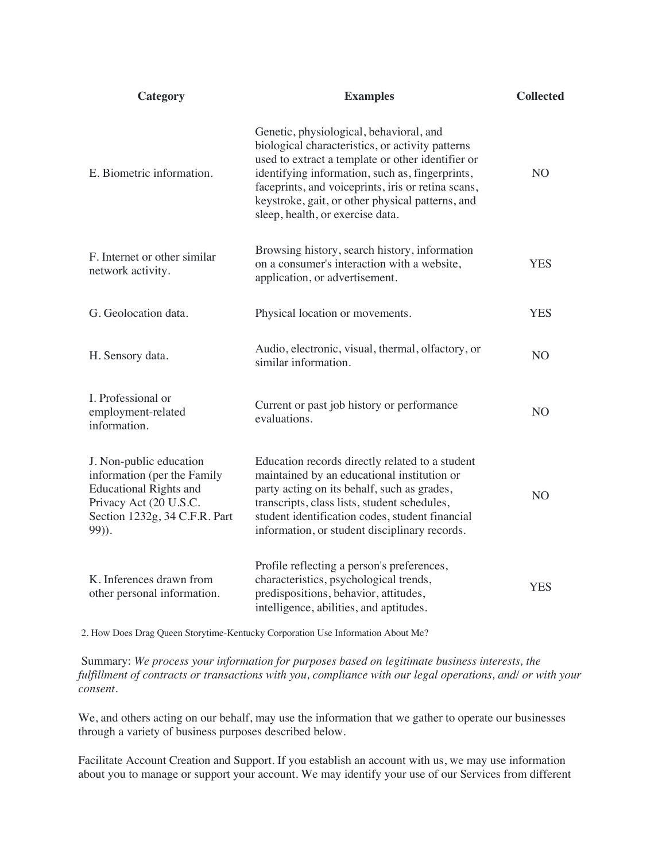| Category                                                                                                                                                    | <b>Examples</b>                                                                                                                                                                                                                                                                                                                                   | <b>Collected</b> |
|-------------------------------------------------------------------------------------------------------------------------------------------------------------|---------------------------------------------------------------------------------------------------------------------------------------------------------------------------------------------------------------------------------------------------------------------------------------------------------------------------------------------------|------------------|
| E. Biometric information.                                                                                                                                   | Genetic, physiological, behavioral, and<br>biological characteristics, or activity patterns<br>used to extract a template or other identifier or<br>identifying information, such as, fingerprints,<br>faceprints, and voiceprints, iris or retina scans,<br>keystroke, gait, or other physical patterns, and<br>sleep, health, or exercise data. | N <sub>O</sub>   |
| F. Internet or other similar<br>network activity.                                                                                                           | Browsing history, search history, information<br>on a consumer's interaction with a website,<br>application, or advertisement.                                                                                                                                                                                                                    | <b>YES</b>       |
| G. Geolocation data.                                                                                                                                        | Physical location or movements.                                                                                                                                                                                                                                                                                                                   | <b>YES</b>       |
| H. Sensory data.                                                                                                                                            | Audio, electronic, visual, thermal, olfactory, or<br>similar information.                                                                                                                                                                                                                                                                         | N <sub>O</sub>   |
| I. Professional or<br>employment-related<br>information.                                                                                                    | Current or past job history or performance<br>evaluations.                                                                                                                                                                                                                                                                                        | N <sub>O</sub>   |
| J. Non-public education<br>information (per the Family<br><b>Educational Rights and</b><br>Privacy Act (20 U.S.C.<br>Section 1232g, 34 C.F.R. Part<br>99)). | Education records directly related to a student<br>maintained by an educational institution or<br>party acting on its behalf, such as grades,<br>transcripts, class lists, student schedules,<br>student identification codes, student financial<br>information, or student disciplinary records.                                                 | N <sub>O</sub>   |
| K. Inferences drawn from<br>other personal information.                                                                                                     | Profile reflecting a person's preferences,<br>characteristics, psychological trends,<br>predispositions, behavior, attitudes,<br>intelligence, abilities, and aptitudes.                                                                                                                                                                          | <b>YES</b>       |

2. How Does Drag Queen Storytime-Kentucky Corporation Use Information About Me?

Summary: *We process your information for purposes based on legitimate business interests, the fulfillment of contracts or transactions with you, compliance with our legal operations, and/ or with your consent.*

We, and others acting on our behalf, may use the information that we gather to operate our businesses through a variety of business purposes described below.

Facilitate Account Creation and Support. If you establish an account with us, we may use information about you to manage or support your account. We may identify your use of our Services from different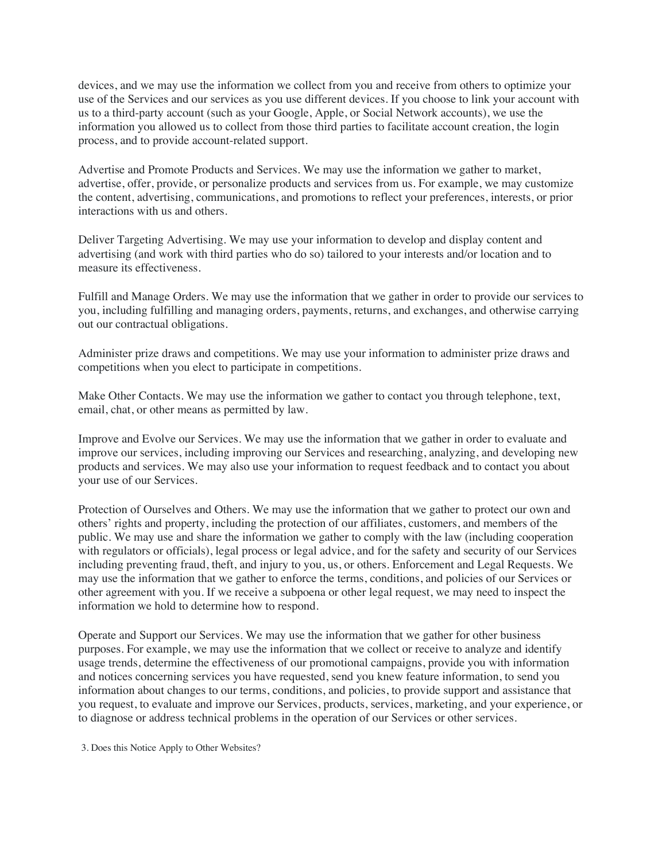devices, and we may use the information we collect from you and receive from others to optimize your use of the Services and our services as you use different devices. If you choose to link your account with us to a third-party account (such as your Google, Apple, or Social Network accounts), we use the information you allowed us to collect from those third parties to facilitate account creation, the login process, and to provide account-related support.

Advertise and Promote Products and Services. We may use the information we gather to market, advertise, offer, provide, or personalize products and services from us. For example, we may customize the content, advertising, communications, and promotions to reflect your preferences, interests, or prior interactions with us and others.

Deliver Targeting Advertising. We may use your information to develop and display content and advertising (and work with third parties who do so) tailored to your interests and/or location and to measure its effectiveness.

Fulfill and Manage Orders. We may use the information that we gather in order to provide our services to you, including fulfilling and managing orders, payments, returns, and exchanges, and otherwise carrying out our contractual obligations.

Administer prize draws and competitions. We may use your information to administer prize draws and competitions when you elect to participate in competitions.

Make Other Contacts. We may use the information we gather to contact you through telephone, text, email, chat, or other means as permitted by law.

Improve and Evolve our Services. We may use the information that we gather in order to evaluate and improve our services, including improving our Services and researching, analyzing, and developing new products and services. We may also use your information to request feedback and to contact you about your use of our Services.

Protection of Ourselves and Others. We may use the information that we gather to protect our own and others' rights and property, including the protection of our affiliates, customers, and members of the public. We may use and share the information we gather to comply with the law (including cooperation with regulators or officials), legal process or legal advice, and for the safety and security of our Services including preventing fraud, theft, and injury to you, us, or others. Enforcement and Legal Requests. We may use the information that we gather to enforce the terms, conditions, and policies of our Services or other agreement with you. If we receive a subpoena or other legal request, we may need to inspect the information we hold to determine how to respond.

Operate and Support our Services. We may use the information that we gather for other business purposes. For example, we may use the information that we collect or receive to analyze and identify usage trends, determine the effectiveness of our promotional campaigns, provide you with information and notices concerning services you have requested, send you knew feature information, to send you information about changes to our terms, conditions, and policies, to provide support and assistance that you request, to evaluate and improve our Services, products, services, marketing, and your experience, or to diagnose or address technical problems in the operation of our Services or other services.

3. Does this Notice Apply to Other Websites?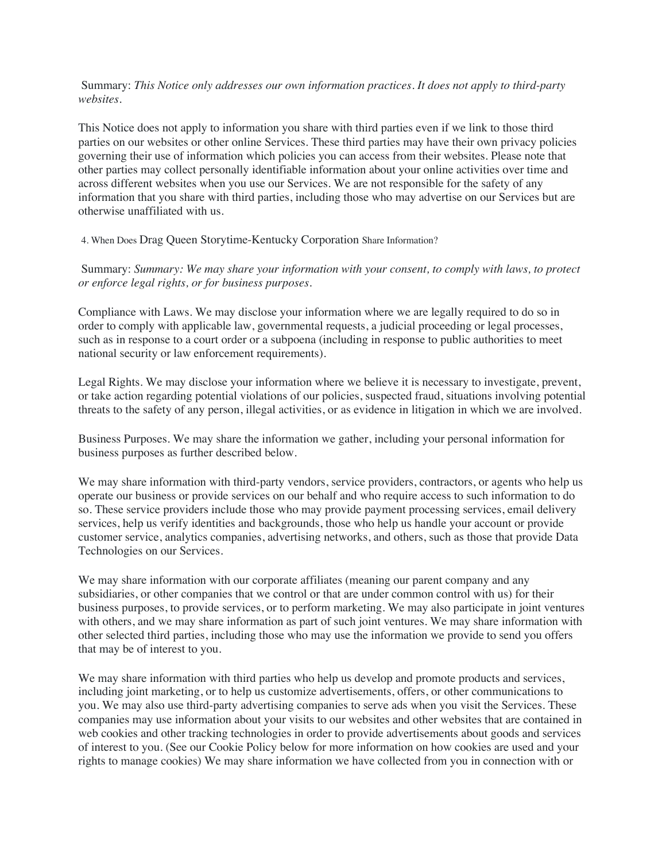Summary: *This Notice only addresses our own information practices. It does not apply to third-party websites.*

This Notice does not apply to information you share with third parties even if we link to those third parties on our websites or other online Services. These third parties may have their own privacy policies governing their use of information which policies you can access from their websites. Please note that other parties may collect personally identifiable information about your online activities over time and across different websites when you use our Services. We are not responsible for the safety of any information that you share with third parties, including those who may advertise on our Services but are otherwise unaffiliated with us.

4. When Does Drag Queen Storytime-Kentucky Corporation Share Information?

Summary: *Summary: We may share your information with your consent, to comply with laws, to protect or enforce legal rights, or for business purposes.*

Compliance with Laws. We may disclose your information where we are legally required to do so in order to comply with applicable law, governmental requests, a judicial proceeding or legal processes, such as in response to a court order or a subpoena (including in response to public authorities to meet national security or law enforcement requirements).

Legal Rights. We may disclose your information where we believe it is necessary to investigate, prevent, or take action regarding potential violations of our policies, suspected fraud, situations involving potential threats to the safety of any person, illegal activities, or as evidence in litigation in which we are involved.

Business Purposes. We may share the information we gather, including your personal information for business purposes as further described below.

We may share information with third-party vendors, service providers, contractors, or agents who help us operate our business or provide services on our behalf and who require access to such information to do so. These service providers include those who may provide payment processing services, email delivery services, help us verify identities and backgrounds, those who help us handle your account or provide customer service, analytics companies, advertising networks, and others, such as those that provide Data Technologies on our Services.

We may share information with our corporate affiliates (meaning our parent company and any subsidiaries, or other companies that we control or that are under common control with us) for their business purposes, to provide services, or to perform marketing. We may also participate in joint ventures with others, and we may share information as part of such joint ventures. We may share information with other selected third parties, including those who may use the information we provide to send you offers that may be of interest to you.

We may share information with third parties who help us develop and promote products and services, including joint marketing, or to help us customize advertisements, offers, or other communications to you. We may also use third-party advertising companies to serve ads when you visit the Services. These companies may use information about your visits to our websites and other websites that are contained in web cookies and other tracking technologies in order to provide advertisements about goods and services of interest to you. (See our Cookie Policy below for more information on how cookies are used and your rights to manage cookies) We may share information we have collected from you in connection with or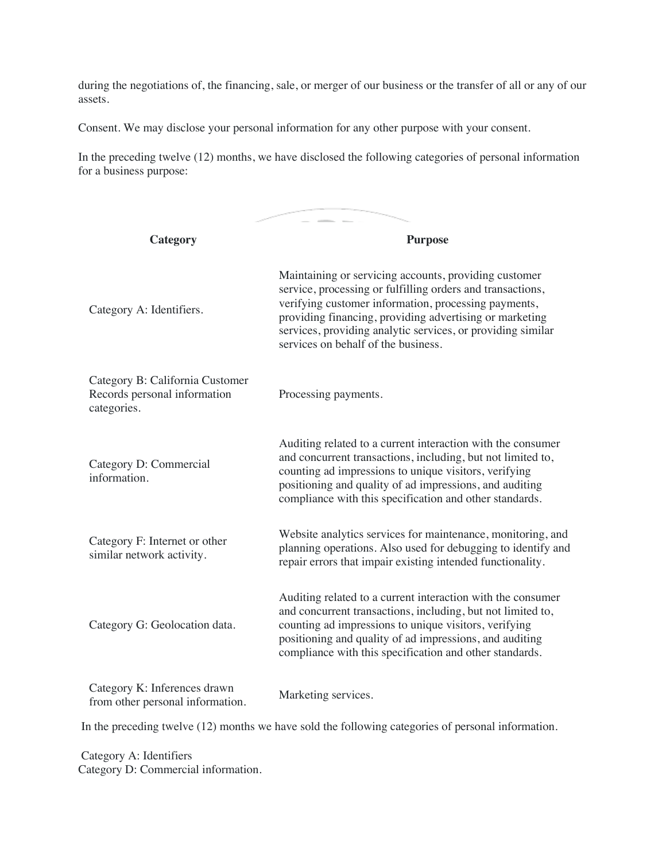during the negotiations of, the financing, sale, or merger of our business or the transfer of all or any of our assets.

Consent. We may disclose your personal information for any other purpose with your consent.

In the preceding twelve (12) months, we have disclosed the following categories of personal information for a business purpose:

| Category                                                                       | <b>Purpose</b>                                                                                                                                                                                                                                                                                                                               |  |
|--------------------------------------------------------------------------------|----------------------------------------------------------------------------------------------------------------------------------------------------------------------------------------------------------------------------------------------------------------------------------------------------------------------------------------------|--|
| Category A: Identifiers.                                                       | Maintaining or servicing accounts, providing customer<br>service, processing or fulfilling orders and transactions,<br>verifying customer information, processing payments,<br>providing financing, providing advertising or marketing<br>services, providing analytic services, or providing similar<br>services on behalf of the business. |  |
| Category B: California Customer<br>Records personal information<br>categories. | Processing payments.                                                                                                                                                                                                                                                                                                                         |  |
| Category D: Commercial<br>information.                                         | Auditing related to a current interaction with the consumer<br>and concurrent transactions, including, but not limited to,<br>counting ad impressions to unique visitors, verifying<br>positioning and quality of ad impressions, and auditing<br>compliance with this specification and other standards.                                    |  |
| Category F: Internet or other<br>similar network activity.                     | Website analytics services for maintenance, monitoring, and<br>planning operations. Also used for debugging to identify and<br>repair errors that impair existing intended functionality.                                                                                                                                                    |  |
| Category G: Geolocation data.                                                  | Auditing related to a current interaction with the consumer<br>and concurrent transactions, including, but not limited to,<br>counting ad impressions to unique visitors, verifying<br>positioning and quality of ad impressions, and auditing<br>compliance with this specification and other standards.                                    |  |
| Category K: Inferences drawn<br>from other personal information.               | Marketing services.                                                                                                                                                                                                                                                                                                                          |  |

In the preceding twelve (12) months we have sold the following categories of personal information.

Category A: Identifiers Category D: Commercial information.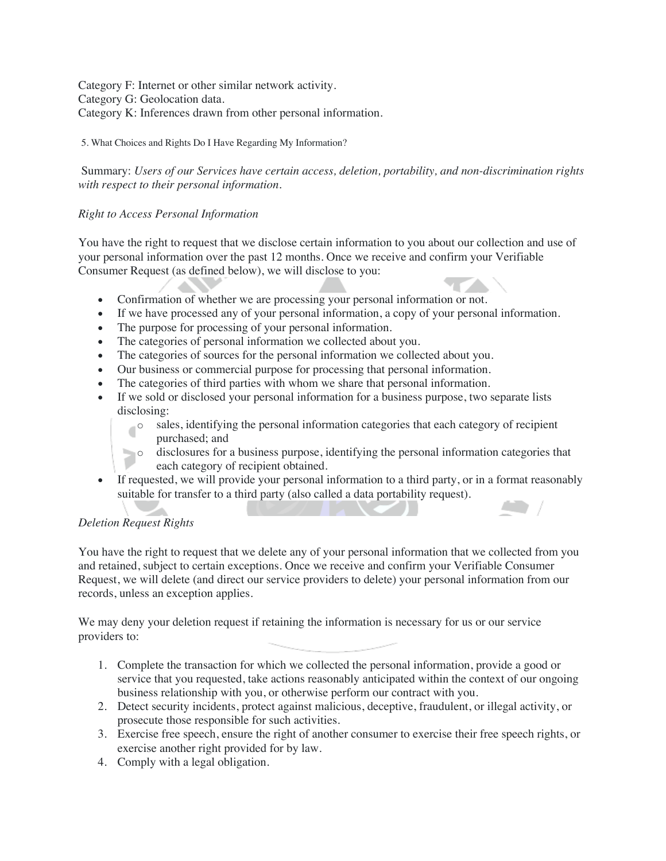Category F: Internet or other similar network activity. Category G: Geolocation data. Category K: Inferences drawn from other personal information.

### 5. What Choices and Rights Do I Have Regarding My Information?

Summary: *Users of our Services have certain access, deletion, portability, and non-discrimination rights with respect to their personal information.*

## *Right to Access Personal Information*

You have the right to request that we disclose certain information to you about our collection and use of your personal information over the past 12 months. Once we receive and confirm your Verifiable Consumer Request (as defined below), we will disclose to you:

- Confirmation of whether we are processing your personal information or not.
- If we have processed any of your personal information, a copy of your personal information.
- The purpose for processing of your personal information.
- The categories of personal information we collected about you.
- The categories of sources for the personal information we collected about you.
- Our business or commercial purpose for processing that personal information.
- The categories of third parties with whom we share that personal information.
- If we sold or disclosed your personal information for a business purpose, two separate lists disclosing:<br>o sale
	- sales, identifying the personal information categories that each category of recipient purchased; and
	- o disclosures for a business purpose, identifying the personal information categories that each category of recipient obtained.
- If requested, we will provide your personal information to a third party, or in a format reasonably suitable for transfer to a third party (also called a data portability request).

# *Deletion Request Rights*

You have the right to request that we delete any of your personal information that we collected from you and retained, subject to certain exceptions. Once we receive and confirm your Verifiable Consumer Request, we will delete (and direct our service providers to delete) your personal information from our records, unless an exception applies.

We may deny your deletion request if retaining the information is necessary for us or our service providers to:

- 1. Complete the transaction for which we collected the personal information, provide a good or service that you requested, take actions reasonably anticipated within the context of our ongoing business relationship with you, or otherwise perform our contract with you.
- 2. Detect security incidents, protect against malicious, deceptive, fraudulent, or illegal activity, or prosecute those responsible for such activities.
- 3. Exercise free speech, ensure the right of another consumer to exercise their free speech rights, or exercise another right provided for by law.
- 4. Comply with a legal obligation.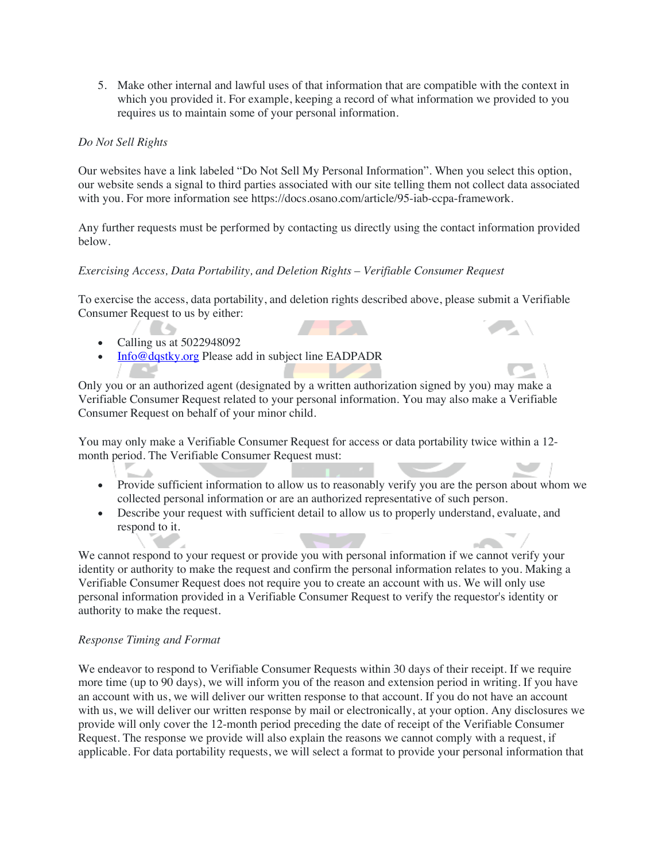5. Make other internal and lawful uses of that information that are compatible with the context in which you provided it. For example, keeping a record of what information we provided to you requires us to maintain some of your personal information.

### *Do Not Sell Rights*

Our websites have a link labeled "Do Not Sell My Personal Information". When you select this option, our website sends a signal to third parties associated with our site telling them not collect data associated with you. For more information see https://docs.osano.com/article/95-iab-ccpa-framework.

Any further requests must be performed by contacting us directly using the contact information provided below.

## *Exercising Access, Data Portability, and Deletion Rights – Verifiable Consumer Request*

To exercise the access, data portability, and deletion rights described above, please submit a Verifiable Consumer Request to us by either:

- Calling us at 5022948092
- Info@dqstky.org Please add in subject line EADPADR

Only you or an authorized agent (designated by a written authorization signed by you) may make a Verifiable Consumer Request related to your personal information. You may also make a Verifiable Consumer Request on behalf of your minor child.

You may only make a Verifiable Consumer Request for access or data portability twice within a 12 month period. The Verifiable Consumer Request must:

- Provide sufficient information to allow us to reasonably verify you are the person about whom we collected personal information or are an authorized representative of such person.
- Describe your request with sufficient detail to allow us to properly understand, evaluate, and respond to it.

We cannot respond to your request or provide you with personal information if we cannot verify your identity or authority to make the request and confirm the personal information relates to you. Making a Verifiable Consumer Request does not require you to create an account with us. We will only use personal information provided in a Verifiable Consumer Request to verify the requestor's identity or authority to make the request.

### *Response Timing and Format*

We endeavor to respond to Verifiable Consumer Requests within 30 days of their receipt. If we require more time (up to 90 days), we will inform you of the reason and extension period in writing. If you have an account with us, we will deliver our written response to that account. If you do not have an account with us, we will deliver our written response by mail or electronically, at your option. Any disclosures we provide will only cover the 12-month period preceding the date of receipt of the Verifiable Consumer Request. The response we provide will also explain the reasons we cannot comply with a request, if applicable. For data portability requests, we will select a format to provide your personal information that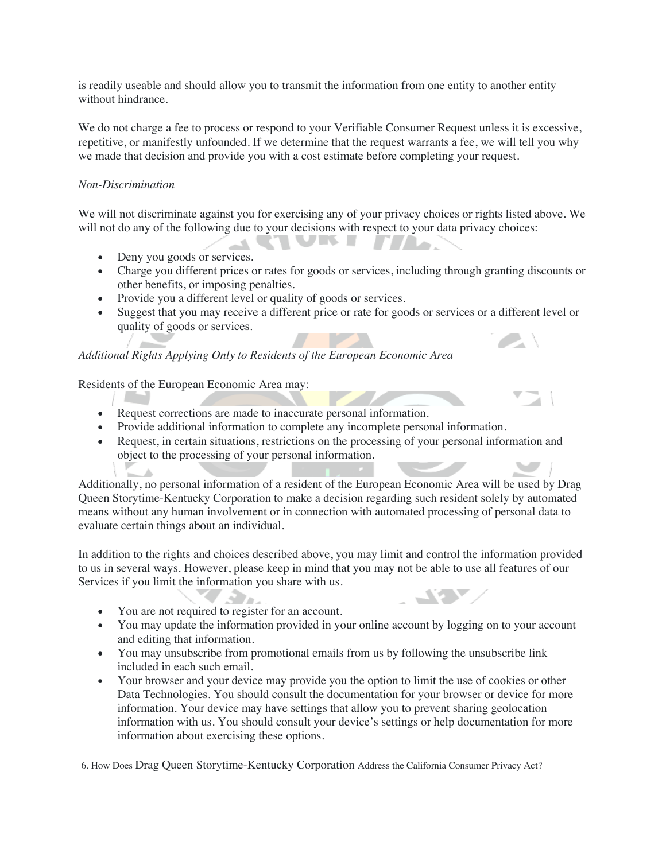is readily useable and should allow you to transmit the information from one entity to another entity without hindrance.

We do not charge a fee to process or respond to your Verifiable Consumer Request unless it is excessive, repetitive, or manifestly unfounded. If we determine that the request warrants a fee, we will tell you why we made that decision and provide you with a cost estimate before completing your request.

### *Non-Discrimination*

We will not discriminate against you for exercising any of your privacy choices or rights listed above. We will not do any of the following due to your decisions with respect to your data privacy choices:

WW.

- Deny you goods or services.
- Charge you different prices or rates for goods or services, including through granting discounts or other benefits, or imposing penalties.

**ITALIA** 

• Provide you a different level or quality of goods or services.

**Contract** 

• Suggest that you may receive a different price or rate for goods or services or a different level or quality of goods or services.

## *Additional Rights Applying Only to Residents of the European Economic Area*

Residents of the European Economic Area may:

- Request corrections are made to inaccurate personal information.
- Provide additional information to complete any incomplete personal information.
- Request, in certain situations, restrictions on the processing of your personal information and object to the processing of your personal information.

Additionally, no personal information of a resident of the European Economic Area will be used by Drag Queen Storytime-Kentucky Corporation to make a decision regarding such resident solely by automated means without any human involvement or in connection with automated processing of personal data to evaluate certain things about an individual.

In addition to the rights and choices described above, you may limit and control the information provided to us in several ways. However, please keep in mind that you may not be able to use all features of our Services if you limit the information you share with us.

- S Tru • You are not required to register for an account.
- You may update the information provided in your online account by logging on to your account and editing that information.
- You may unsubscribe from promotional emails from us by following the unsubscribe link included in each such email.
- Your browser and your device may provide you the option to limit the use of cookies or other Data Technologies. You should consult the documentation for your browser or device for more information. Your device may have settings that allow you to prevent sharing geolocation information with us. You should consult your device's settings or help documentation for more information about exercising these options.

6. How Does Drag Queen Storytime-Kentucky Corporation Address the California Consumer Privacy Act?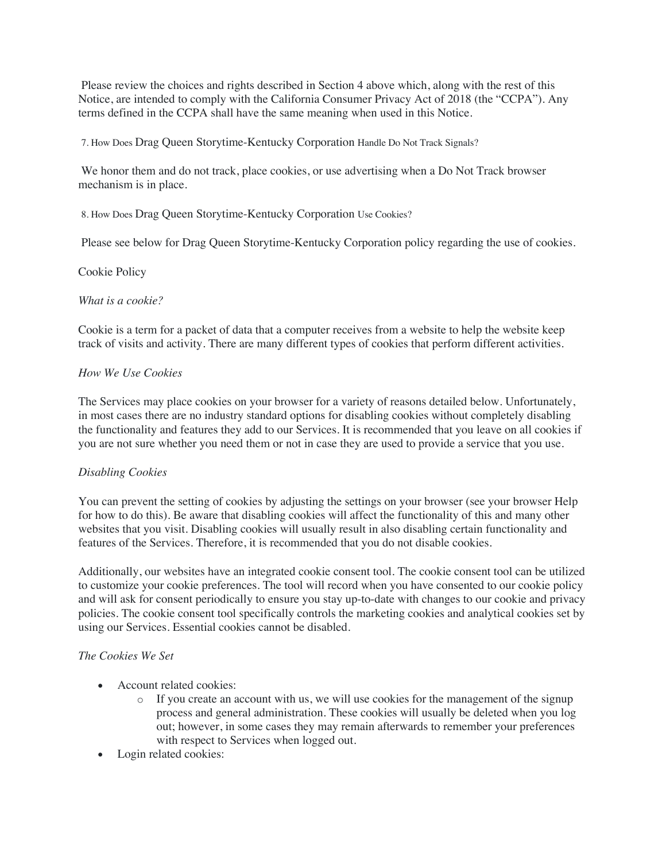Please review the choices and rights described in Section 4 above which, along with the rest of this Notice, are intended to comply with the California Consumer Privacy Act of 2018 (the "CCPA"). Any terms defined in the CCPA shall have the same meaning when used in this Notice.

7. How Does Drag Queen Storytime-Kentucky Corporation Handle Do Not Track Signals?

We honor them and do not track, place cookies, or use advertising when a Do Not Track browser mechanism is in place.

8. How Does Drag Queen Storytime-Kentucky Corporation Use Cookies?

Please see below for Drag Queen Storytime-Kentucky Corporation policy regarding the use of cookies.

Cookie Policy

#### *What is a cookie?*

Cookie is a term for a packet of data that a computer receives from a website to help the website keep track of visits and activity. There are many different types of cookies that perform different activities.

#### *How We Use Cookies*

The Services may place cookies on your browser for a variety of reasons detailed below. Unfortunately, in most cases there are no industry standard options for disabling cookies without completely disabling the functionality and features they add to our Services. It is recommended that you leave on all cookies if you are not sure whether you need them or not in case they are used to provide a service that you use.

### *Disabling Cookies*

You can prevent the setting of cookies by adjusting the settings on your browser (see your browser Help for how to do this). Be aware that disabling cookies will affect the functionality of this and many other websites that you visit. Disabling cookies will usually result in also disabling certain functionality and features of the Services. Therefore, it is recommended that you do not disable cookies.

Additionally, our websites have an integrated cookie consent tool. The cookie consent tool can be utilized to customize your cookie preferences. The tool will record when you have consented to our cookie policy and will ask for consent periodically to ensure you stay up-to-date with changes to our cookie and privacy policies. The cookie consent tool specifically controls the marketing cookies and analytical cookies set by using our Services. Essential cookies cannot be disabled.

### *The Cookies We Set*

- Account related cookies:
	- $\circ$  If you create an account with us, we will use cookies for the management of the signup process and general administration. These cookies will usually be deleted when you log out; however, in some cases they may remain afterwards to remember your preferences with respect to Services when logged out.
- Login related cookies: